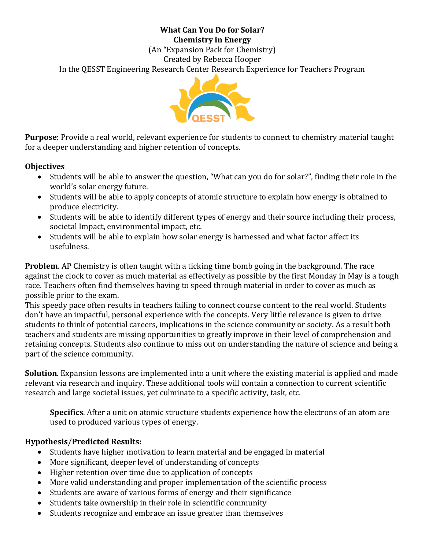#### **What Can You Do for Solar? Chemistry in Energy**

(An "Expansion Pack for Chemistry) Created by Rebecca Hooper In the QESST Engineering Research Center Research Experience for Teachers Program



**Purpose**: Provide a real world, relevant experience for students to connect to chemistry material taught for a deeper understanding and higher retention of concepts.

#### **Objectives**

- Students will be able to answer the question, "What can you do for solar?", finding their role in the world's solar energy future.
- Students will be able to apply concepts of atomic structure to explain how energy is obtained to produce electricity.
- Students will be able to identify different types of energy and their source including their process, societal Impact, environmental impact, etc.
- Students will be able to explain how solar energy is harnessed and what factor affect its usefulness.

**Problem**. AP Chemistry is often taught with a ticking time bomb going in the background. The race against the clock to cover as much material as effectively as possible by the first Monday in May is a tough race. Teachers often find themselves having to speed through material in order to cover as much as possible prior to the exam.

This speedy pace often results in teachers failing to connect course content to the real world. Students don't have an impactful, personal experience with the concepts. Very little relevance is given to drive students to think of potential careers, implications in the science community or society. As a result both teachers and students are missing opportunities to greatly improve in their level of comprehension and retaining concepts. Students also continue to miss out on understanding the nature of science and being a part of the science community.

**Solution**. Expansion lessons are implemented into a unit where the existing material is applied and made relevant via research and inquiry. These additional tools will contain a connection to current scientific research and large societal issues, yet culminate to a specific activity, task, etc.

**Specifics**. After a unit on atomic structure students experience how the electrons of an atom are used to produced various types of energy.

### **Hypothesis**/**Predicted Results:**

- Students have higher motivation to learn material and be engaged in material
- More significant, deeper level of understanding of concepts
- Higher retention over time due to application of concepts
- More valid understanding and proper implementation of the scientific process
- Students are aware of various forms of energy and their significance
- Students take ownership in their role in scientific community
- Students recognize and embrace an issue greater than themselves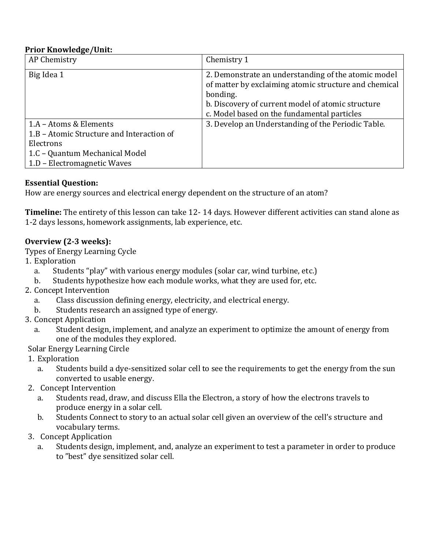#### **Prior Knowledge/Unit:**

| AP Chemistry                              | Chemistry 1                                                                                                                                                                                                                  |
|-------------------------------------------|------------------------------------------------------------------------------------------------------------------------------------------------------------------------------------------------------------------------------|
| Big Idea 1                                | 2. Demonstrate an understanding of the atomic model<br>of matter by exclaiming atomic structure and chemical<br>bonding.<br>b. Discovery of current model of atomic structure<br>c. Model based on the fundamental particles |
| 1.A - Atoms & Elements                    | 3. Develop an Understanding of the Periodic Table.                                                                                                                                                                           |
| 1.B - Atomic Structure and Interaction of |                                                                                                                                                                                                                              |
| Electrons                                 |                                                                                                                                                                                                                              |
| 1.C - Quantum Mechanical Model            |                                                                                                                                                                                                                              |
| 1.D - Electromagnetic Waves               |                                                                                                                                                                                                                              |

#### **Essential Question:**

How are energy sources and electrical energy dependent on the structure of an atom?

**Timeline:** The entirety of this lesson can take 12- 14 days. However different activities can stand alone as 1-2 days lessons, homework assignments, lab experience, etc.

### **Overview (2-3 weeks):**

Types of Energy Learning Cycle

- 1. Exploration
	- a. Students "play" with various energy modules (solar car, wind turbine, etc.)
	- b. Students hypothesize how each module works, what they are used for, etc.
- 2. Concept Intervention
	- a. Class discussion defining energy, electricity, and electrical energy.
	- b. Students research an assigned type of energy.
- 3. Concept Application
	- a. Student design, implement, and analyze an experiment to optimize the amount of energy from one of the modules they explored.

Solar Energy Learning Circle

- 1. Exploration
	- a. Students build a dye-sensitized solar cell to see the requirements to get the energy from the sun converted to usable energy.
- 2. Concept Intervention
	- a. Students read, draw, and discuss Ella the Electron, a story of how the electrons travels to produce energy in a solar cell.
	- b. Students Connect to story to an actual solar cell given an overview of the cell's structure and vocabulary terms.
- 3. Concept Application
	- a. Students design, implement, and, analyze an experiment to test a parameter in order to produce to "best" dye sensitized solar cell.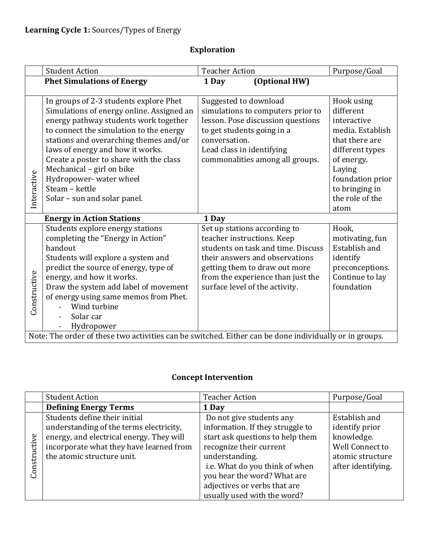|              | <b>Student Action</b>                                                                                  | <b>Teacher Action</b>      |                                    | Purpose/Goal                       |
|--------------|--------------------------------------------------------------------------------------------------------|----------------------------|------------------------------------|------------------------------------|
|              | <b>Phet Simulations of Energy</b>                                                                      | 1 Day                      | (Optional HW)                      |                                    |
|              |                                                                                                        |                            |                                    |                                    |
|              | In groups of 2-3 students explore Phet                                                                 | Suggested to download      |                                    | Hook using                         |
|              | Simulations of energy online. Assigned an                                                              |                            | simulations to computers prior to  | different                          |
|              | energy pathway students work together                                                                  |                            | lesson. Pose discussion questions  | interactive                        |
|              | to connect the simulation to the energy                                                                | to get students going in a |                                    | media. Establish                   |
|              | stations and overarching themes and/or                                                                 | conversation.              |                                    | that there are                     |
|              | laws of energy and how it works.                                                                       | Lead class in identifying  |                                    | different types                    |
|              | Create a poster to share with the class                                                                |                            | commonalities among all groups.    | of energy.                         |
|              | Mechanical - girl on bike                                                                              |                            |                                    | Laying                             |
| Interactive  | Hydropower- water wheel<br>Steam - kettle                                                              |                            |                                    | foundation prior<br>to bringing in |
|              | Solar - sun and solar panel.                                                                           |                            |                                    | the role of the                    |
|              |                                                                                                        |                            |                                    | atom                               |
|              | <b>Energy in Action Stations</b>                                                                       | 1 Day                      |                                    |                                    |
|              | Students explore energy stations                                                                       |                            | Set up stations according to       | Hook,                              |
|              | completing the "Energy in Action"                                                                      |                            | teacher instructions. Keep         | motivating, fun                    |
|              | handout                                                                                                |                            | students on task and time. Discuss | Establish and                      |
|              | Students will explore a system and                                                                     |                            | their answers and observations     | identify                           |
|              | predict the source of energy, type of                                                                  |                            | getting them to draw out more      | preconceptions.                    |
|              | energy, and how it works.                                                                              |                            | from the experience than just the  | Continue to lay                    |
|              | Draw the system add label of movement                                                                  |                            | surface level of the activity.     | foundation                         |
| Constructive | of energy using same memos from Phet.                                                                  |                            |                                    |                                    |
|              | Wind turbine                                                                                           |                            |                                    |                                    |
|              | Solar car                                                                                              |                            |                                    |                                    |
|              | Hydropower                                                                                             |                            |                                    |                                    |
|              | Note: The order of these two activities can be switched. Either can be done individually or in groups. |                            |                                    |                                    |

# **Exploration**

# **Concept Intervention**

|       | <b>Student Action</b>                    | <b>Teacher Action</b>            | Purpose/Goal       |
|-------|------------------------------------------|----------------------------------|--------------------|
|       | <b>Defining Energy Terms</b>             | 1 Day                            |                    |
|       | Students define their initial            | Do not give students any         | Establish and      |
|       | understanding of the terms electricity,  | information. If they struggle to | identify prior     |
| ye    | energy, and electrical energy. They will | start ask questions to help them | knowledge.         |
| Ė     | incorporate what they have learned from  | recognize their current          | Well Connect to    |
| Ĕ     | the atomic structure unit.               | understanding.                   | atomic structure   |
| Const |                                          | i.e. What do you think of when   | after identifying. |
|       |                                          | you hear the word? What are      |                    |
|       |                                          | adjectives or verbs that are     |                    |
|       |                                          | usually used with the word?      |                    |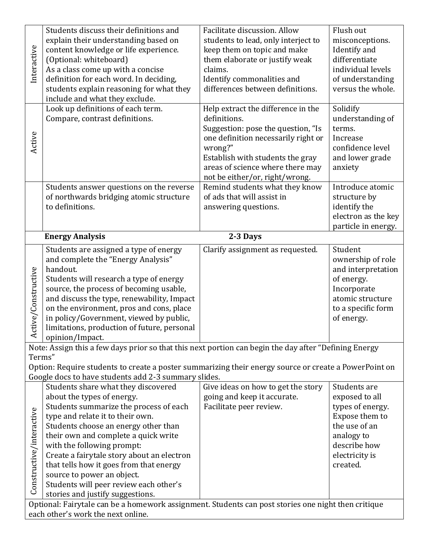|                          | Students discuss their definitions and                                                                                                                        | Facilitate discussion. Allow        | Flush out           |
|--------------------------|---------------------------------------------------------------------------------------------------------------------------------------------------------------|-------------------------------------|---------------------|
|                          | explain their understanding based on                                                                                                                          | students to lead, only interject to | misconceptions.     |
| Interactive              | content knowledge or life experience.                                                                                                                         | keep them on topic and make         | Identify and        |
|                          | (Optional: whiteboard)                                                                                                                                        | them elaborate or justify weak      | differentiate       |
|                          | As a class come up with a concise                                                                                                                             | claims.                             | individual levels   |
|                          | definition for each word. In deciding,                                                                                                                        | Identify commonalities and          | of understanding    |
|                          | students explain reasoning for what they                                                                                                                      | differences between definitions.    | versus the whole.   |
|                          | include and what they exclude.                                                                                                                                |                                     |                     |
|                          | Look up definitions of each term.                                                                                                                             | Help extract the difference in the  | Solidify            |
|                          | Compare, contrast definitions.                                                                                                                                | definitions.                        | understanding of    |
|                          |                                                                                                                                                               | Suggestion: pose the question, "Is  | terms.              |
| Active                   |                                                                                                                                                               | one definition necessarily right or | Increase            |
|                          |                                                                                                                                                               | wrong?"                             | confidence level    |
|                          |                                                                                                                                                               | Establish with students the gray    | and lower grade     |
|                          |                                                                                                                                                               | areas of science where there may    | anxiety             |
|                          |                                                                                                                                                               | not be either/or, right/wrong.      |                     |
|                          | Students answer questions on the reverse                                                                                                                      | Remind students what they know      | Introduce atomic    |
|                          | of northwards bridging atomic structure                                                                                                                       | of ads that will assist in          | structure by        |
|                          | to definitions.                                                                                                                                               | answering questions.                | identify the        |
|                          |                                                                                                                                                               |                                     | electron as the key |
|                          |                                                                                                                                                               |                                     | particle in energy. |
|                          | <b>Energy Analysis</b>                                                                                                                                        | 2-3 Days                            |                     |
|                          | Students are assigned a type of energy                                                                                                                        | Clarify assignment as requested.    | Student             |
|                          | and complete the "Energy Analysis"                                                                                                                            |                                     | ownership of role   |
|                          | handout.                                                                                                                                                      |                                     | and interpretation  |
|                          | Students will research a type of energy                                                                                                                       |                                     | of energy.          |
|                          | source, the process of becoming usable,                                                                                                                       |                                     | Incorporate         |
|                          | and discuss the type, renewability, Impact                                                                                                                    |                                     | atomic structure    |
|                          | on the environment, pros and cons, place                                                                                                                      |                                     | to a specific form  |
|                          | in policy/Government, viewed by public,                                                                                                                       |                                     | of energy.          |
| Active/Constructive      | limitations, production of future, personal                                                                                                                   |                                     |                     |
|                          | opinion/Impact.                                                                                                                                               |                                     |                     |
|                          | Note: Assign this a few days prior so that this next portion can begin the day after "Defining Energy                                                         |                                     |                     |
| Terms"                   |                                                                                                                                                               |                                     |                     |
|                          | Option: Require students to create a poster summarizing their energy source or create a PowerPoint on<br>Google docs to have students add 2-3 summary slides. |                                     |                     |
|                          | Students share what they discovered                                                                                                                           | Give ideas on how to get the story  | Students are        |
|                          | about the types of energy.                                                                                                                                    | going and keep it accurate.         | exposed to all      |
|                          | Students summarize the process of each                                                                                                                        | Facilitate peer review.             | types of energy.    |
|                          | type and relate it to their own.                                                                                                                              |                                     | Expose them to      |
|                          | Students choose an energy other than                                                                                                                          |                                     | the use of an       |
|                          | their own and complete a quick write                                                                                                                          |                                     | analogy to          |
|                          | with the following prompt:                                                                                                                                    |                                     | describe how        |
|                          | Create a fairytale story about an electron                                                                                                                    |                                     | electricity is      |
|                          | that tells how it goes from that energy                                                                                                                       |                                     | created.            |
| Constructive/interactive | source to power an object.                                                                                                                                    |                                     |                     |
|                          |                                                                                                                                                               |                                     |                     |
|                          |                                                                                                                                                               |                                     |                     |
|                          | Students will peer review each other's                                                                                                                        |                                     |                     |
|                          | stories and justify suggestions.<br>Optional: Fairytale can be a homework assignment. Students can post stories one night then critique                       |                                     |                     |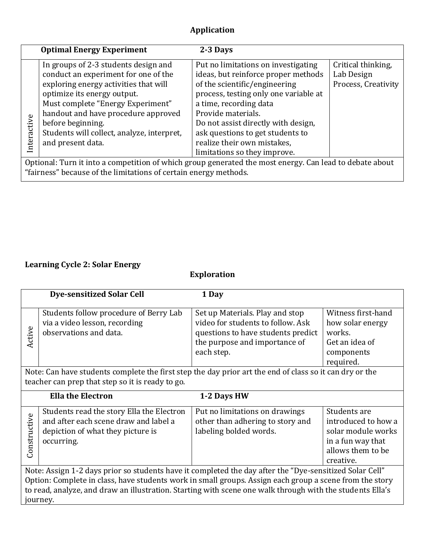# **Application**

|             | <b>Optimal Energy Experiment</b>                                                                                                                                                                                                                      | 2-3 Days                                                                                                                                                                                                                                    |                                                         |
|-------------|-------------------------------------------------------------------------------------------------------------------------------------------------------------------------------------------------------------------------------------------------------|---------------------------------------------------------------------------------------------------------------------------------------------------------------------------------------------------------------------------------------------|---------------------------------------------------------|
|             | In groups of 2-3 students design and<br>conduct an experiment for one of the<br>exploring energy activities that will<br>optimize its energy output.<br>Must complete "Energy Experiment"<br>handout and have procedure approved<br>before beginning. | Put no limitations on investigating<br>ideas, but reinforce proper methods<br>of the scientific/engineering<br>process, testing only one variable at<br>a time, recording data<br>Provide materials.<br>Do not assist directly with design, | Critical thinking,<br>Lab Design<br>Process, Creativity |
| Interactive | Students will collect, analyze, interpret,<br>and present data.                                                                                                                                                                                       | ask questions to get students to<br>realize their own mistakes,<br>limitations so they improve.                                                                                                                                             |                                                         |
|             | Optional: Turn it into a competition of which group generated the most energy. Can lead to debate about<br>"fairness" because of the limitations of certain energy methods.                                                                           |                                                                                                                                                                                                                                             |                                                         |

# **Learning Cycle 2: Solar Energy**

**Exploration**

|                                                                                                                                                                                                                                                                                                                                             | <b>Dye-sensitized Solar Cell</b>                                                                                                                            | 1 Day                                                                                                                                                     |                                                                                                                  |
|---------------------------------------------------------------------------------------------------------------------------------------------------------------------------------------------------------------------------------------------------------------------------------------------------------------------------------------------|-------------------------------------------------------------------------------------------------------------------------------------------------------------|-----------------------------------------------------------------------------------------------------------------------------------------------------------|------------------------------------------------------------------------------------------------------------------|
| Active                                                                                                                                                                                                                                                                                                                                      | Students follow procedure of Berry Lab<br>via a video lesson, recording<br>observations and data.                                                           | Set up Materials. Play and stop<br>video for students to follow. Ask<br>questions to have students predict<br>the purpose and importance of<br>each step. | Witness first-hand<br>how solar energy<br>works.<br>Get an idea of<br>components<br>required.                    |
|                                                                                                                                                                                                                                                                                                                                             | Note: Can have students complete the first step the day prior art the end of class so it can dry or the<br>teacher can prep that step so it is ready to go. |                                                                                                                                                           |                                                                                                                  |
|                                                                                                                                                                                                                                                                                                                                             | <b>Ella the Electron</b>                                                                                                                                    | 1-2 Days HW                                                                                                                                               |                                                                                                                  |
| Constructive                                                                                                                                                                                                                                                                                                                                | Students read the story Ella the Electron<br>and after each scene draw and label a<br>depiction of what they picture is<br>occurring.                       | Put no limitations on drawings<br>other than adhering to story and<br>labeling bolded words.                                                              | Students are<br>introduced to how a<br>solar module works<br>in a fun way that<br>allows them to be<br>creative. |
| Note: Assign 1-2 days prior so students have it completed the day after the "Dye-sensitized Solar Cell"<br>Option: Complete in class, have students work in small groups. Assign each group a scene from the story<br>to read, analyze, and draw an illustration. Starting with scene one walk through with the students Ella's<br>journey. |                                                                                                                                                             |                                                                                                                                                           |                                                                                                                  |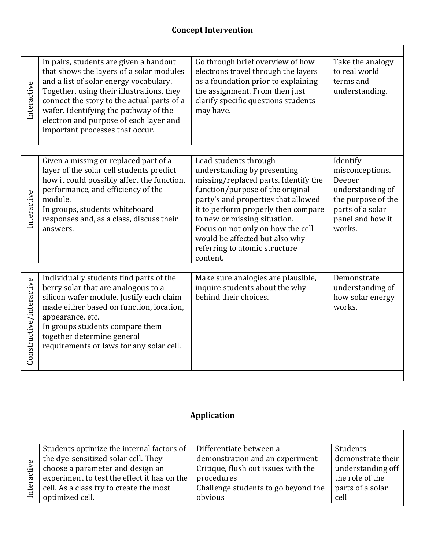| Interactive              | In pairs, students are given a handout<br>that shows the layers of a solar modules<br>and a list of solar energy vocabulary.<br>Together, using their illustrations, they<br>connect the story to the actual parts of a<br>wafer. Identifying the pathway of the<br>electron and purpose of each layer and<br>important processes that occur. | Go through brief overview of how<br>electrons travel through the layers<br>as a foundation prior to explaining<br>the assignment. From then just<br>clarify specific questions students<br>may have.                                                                                                                                                               | Take the analogy<br>to real world<br>terms and<br>understanding.                                                                  |
|--------------------------|-----------------------------------------------------------------------------------------------------------------------------------------------------------------------------------------------------------------------------------------------------------------------------------------------------------------------------------------------|--------------------------------------------------------------------------------------------------------------------------------------------------------------------------------------------------------------------------------------------------------------------------------------------------------------------------------------------------------------------|-----------------------------------------------------------------------------------------------------------------------------------|
|                          |                                                                                                                                                                                                                                                                                                                                               |                                                                                                                                                                                                                                                                                                                                                                    |                                                                                                                                   |
| Interactive              | Given a missing or replaced part of a<br>layer of the solar cell students predict<br>how it could possibly affect the function,<br>performance, and efficiency of the<br>module.<br>In groups, students whiteboard<br>responses and, as a class, discuss their<br>answers.                                                                    | Lead students through<br>understanding by presenting<br>missing/replaced parts. Identify the<br>function/purpose of the original<br>party's and properties that allowed<br>it to perform properly then compare<br>to new or missing situation.<br>Focus on not only on how the cell<br>would be affected but also why<br>referring to atomic structure<br>content. | Identify<br>misconceptions.<br>Deeper<br>understanding of<br>the purpose of the<br>parts of a solar<br>panel and how it<br>works. |
| Constructive/interactive | Individually students find parts of the<br>berry solar that are analogous to a<br>silicon wafer module. Justify each claim<br>made either based on function, location,<br>appearance, etc.<br>In groups students compare them<br>together determine general<br>requirements or laws for any solar cell.                                       | Make sure analogies are plausible,<br>inquire students about the why<br>behind their choices.                                                                                                                                                                                                                                                                      | Demonstrate<br>understanding of<br>how solar energy<br>works.                                                                     |
|                          |                                                                                                                                                                                                                                                                                                                                               |                                                                                                                                                                                                                                                                                                                                                                    |                                                                                                                                   |

# **Application**

┑

| Students optimize the internal factors of   | Differentiate between a             | Students          |
|---------------------------------------------|-------------------------------------|-------------------|
| the dye-sensitized solar cell. They         | demonstration and an experiment     | demonstrate their |
| choose a parameter and design an            | Critique, flush out issues with the | understanding off |
| experiment to test the effect it has on the | procedures                          | the role of the   |
| cell. As a class try to create the most     | Challenge students to go beyond the | parts of a solar  |
| optimized cell.                             | obvious                             | cell              |
|                                             |                                     |                   |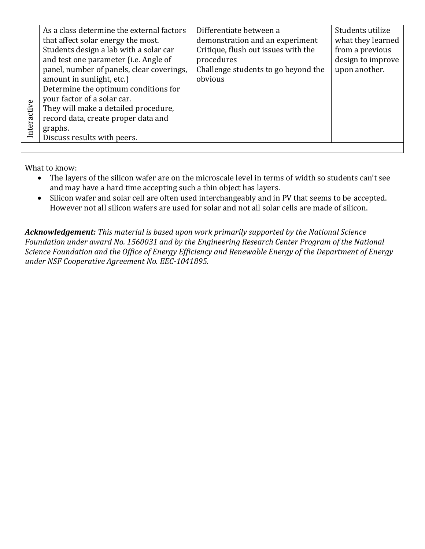|             | As a class determine the external factors | Differentiate between a             | Students utilize  |
|-------------|-------------------------------------------|-------------------------------------|-------------------|
|             |                                           |                                     |                   |
|             | that affect solar energy the most.        | demonstration and an experiment     | what they learned |
|             | Students design a lab with a solar car    | Critique, flush out issues with the | from a previous   |
|             | and test one parameter (i.e. Angle of     | procedures                          | design to improve |
|             | panel, number of panels, clear coverings, | Challenge students to go beyond the | upon another.     |
|             | amount in sunlight, etc.)                 | obvious                             |                   |
|             | Determine the optimum conditions for      |                                     |                   |
|             | your factor of a solar car.               |                                     |                   |
|             | They will make a detailed procedure,      |                                     |                   |
| Interactive | record data, create proper data and       |                                     |                   |
|             | graphs.                                   |                                     |                   |
|             | Discuss results with peers.               |                                     |                   |
|             |                                           |                                     |                   |

What to know:

- The layers of the silicon wafer are on the microscale level in terms of width so students can't see and may have a hard time accepting such a thin object has layers.
- Silicon wafer and solar cell are often used interchangeably and in PV that seems to be accepted. However not all silicon wafers are used for solar and not all solar cells are made of silicon.

*Acknowledgement: This material is based upon work primarily supported by the National Science Foundation under award No. 1560031 and by the Engineering Research Center Program of the National Science Foundation and the Office of Energy Efficiency and Renewable Energy of the Department of Energy under NSF Cooperative Agreement No. EEC‐1041895.*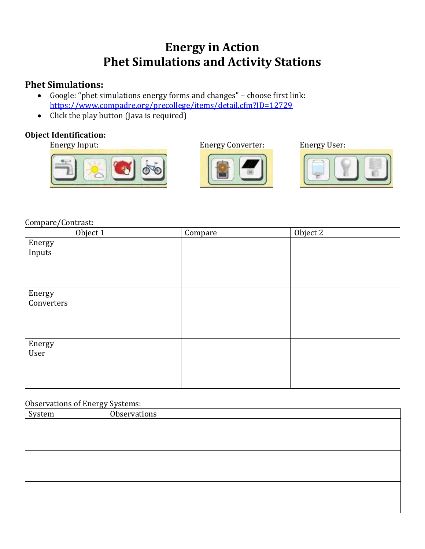# **Energy in Action Phet Simulations and Activity Stations**

## **Phet Simulations:**

- Google: "phet simulations energy forms and changes" choose first link: <https://www.compadre.org/precollege/items/detail.cfm?ID=12729>
- Click the play button (Java is required)

## **Object Identification:**









Compare/Contrast:

|                      | Object 1 | Compare | Object 2 |
|----------------------|----------|---------|----------|
| Energy<br>Inputs     |          |         |          |
| Energy<br>Converters |          |         |          |
| Energy<br>User       |          |         |          |

#### Observations of Energy Systems:

| System | Observations |  |
|--------|--------------|--|
|        |              |  |
|        |              |  |
|        |              |  |
|        |              |  |
|        |              |  |
|        |              |  |
|        |              |  |
|        |              |  |
|        |              |  |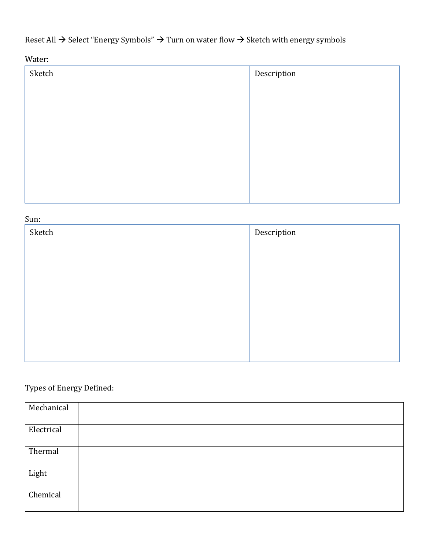Reset All → Select "Energy Symbols" → Turn on water flow → Sketch with energy symbols

Water:

| Description |
|-------------|
|             |
|             |
|             |
|             |
|             |
|             |
|             |
|             |

# Sun:

| Sketch | Description |
|--------|-------------|
|        |             |
|        |             |
|        |             |
|        |             |
|        |             |
|        |             |
|        |             |
|        |             |

# Types of Energy Defined:

| Mechanical |  |
|------------|--|
| Electrical |  |
| Thermal    |  |
| Light      |  |
| Chemical   |  |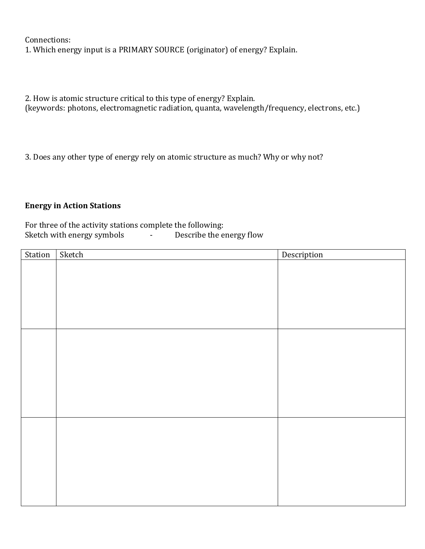Connections:

1. Which energy input is a PRIMARY SOURCE (originator) of energy? Explain.

2. How is atomic structure critical to this type of energy? Explain.

(keywords: photons, electromagnetic radiation, quanta, wavelength/frequency, electrons, etc.)

3. Does any other type of energy rely on atomic structure as much? Why or why not?

### **Energy in Action Stations**

For three of the activity stations complete the following:<br>Sketch with energy symbols - Describe the energy flow Sketch with energy symbols -

| Station | Sketch | Description |
|---------|--------|-------------|
|         |        |             |
|         |        |             |
|         |        |             |
|         |        |             |
|         |        |             |
|         |        |             |
|         |        |             |
|         |        |             |
|         |        |             |
|         |        |             |
|         |        |             |
|         |        |             |
|         |        |             |
|         |        |             |
|         |        |             |
|         |        |             |
|         |        |             |
|         |        |             |
|         |        |             |
|         |        |             |
|         |        |             |